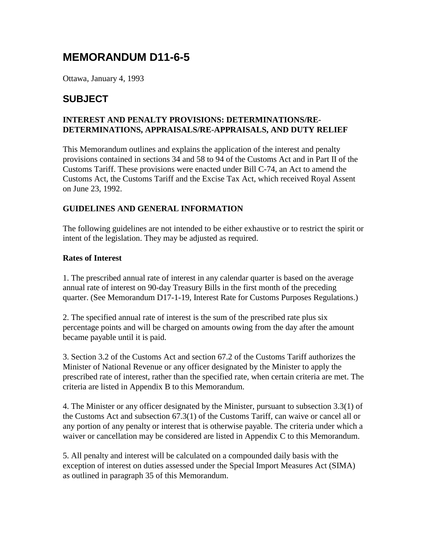# **MEMORANDUM D11-6-5**

Ottawa, January 4, 1993

### **SUBJECT**

### **INTEREST AND PENALTY PROVISIONS: DETERMINATIONS/RE-DETERMINATIONS, APPRAISALS/RE-APPRAISALS, AND DUTY RELIEF**

This Memorandum outlines and explains the application of the interest and penalty provisions contained in sections 34 and 58 to 94 of the Customs Act and in Part II of the Customs Tariff. These provisions were enacted under Bill C-74, an Act to amend the Customs Act, the Customs Tariff and the Excise Tax Act, which received Royal Assent on June 23, 1992.

### **GUIDELINES AND GENERAL INFORMATION**

The following guidelines are not intended to be either exhaustive or to restrict the spirit or intent of the legislation. They may be adjusted as required.

### **Rates of Interest**

1. The prescribed annual rate of interest in any calendar quarter is based on the average annual rate of interest on 90-day Treasury Bills in the first month of the preceding quarter. (See Memorandum D17-1-19, Interest Rate for Customs Purposes Regulations.)

2. The specified annual rate of interest is the sum of the prescribed rate plus six percentage points and will be charged on amounts owing from the day after the amount became payable until it is paid.

3. Section 3.2 of the Customs Act and section 67.2 of the Customs Tariff authorizes the Minister of National Revenue or any officer designated by the Minister to apply the prescribed rate of interest, rather than the specified rate, when certain criteria are met. The criteria are listed in Appendix B to this Memorandum.

4. The Minister or any officer designated by the Minister, pursuant to subsection 3.3(1) of the Customs Act and subsection 67.3(1) of the Customs Tariff, can waive or cancel all or any portion of any penalty or interest that is otherwise payable. The criteria under which a waiver or cancellation may be considered are listed in Appendix C to this Memorandum.

5. All penalty and interest will be calculated on a compounded daily basis with the exception of interest on duties assessed under the Special Import Measures Act (SIMA) as outlined in paragraph 35 of this Memorandum.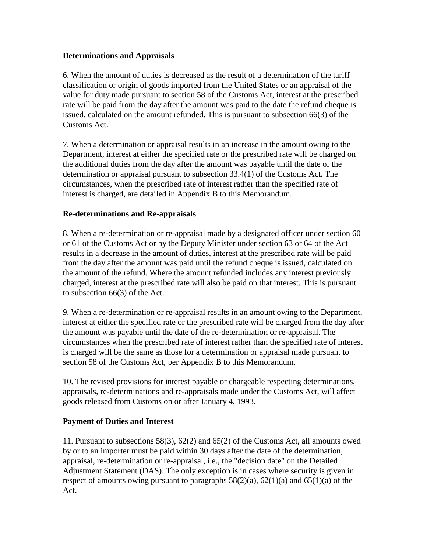### **Determinations and Appraisals**

6. When the amount of duties is decreased as the result of a determination of the tariff classification or origin of goods imported from the United States or an appraisal of the value for duty made pursuant to section 58 of the Customs Act, interest at the prescribed rate will be paid from the day after the amount was paid to the date the refund cheque is issued, calculated on the amount refunded. This is pursuant to subsection 66(3) of the Customs Act.

7. When a determination or appraisal results in an increase in the amount owing to the Department, interest at either the specified rate or the prescribed rate will be charged on the additional duties from the day after the amount was payable until the date of the determination or appraisal pursuant to subsection 33.4(1) of the Customs Act. The circumstances, when the prescribed rate of interest rather than the specified rate of interest is charged, are detailed in Appendix B to this Memorandum.

### **Re-determinations and Re-appraisals**

8. When a re-determination or re-appraisal made by a designated officer under section 60 or 61 of the Customs Act or by the Deputy Minister under section 63 or 64 of the Act results in a decrease in the amount of duties, interest at the prescribed rate will be paid from the day after the amount was paid until the refund cheque is issued, calculated on the amount of the refund. Where the amount refunded includes any interest previously charged, interest at the prescribed rate will also be paid on that interest. This is pursuant to subsection 66(3) of the Act.

9. When a re-determination or re-appraisal results in an amount owing to the Department, interest at either the specified rate or the prescribed rate will be charged from the day after the amount was payable until the date of the re-determination or re-appraisal. The circumstances when the prescribed rate of interest rather than the specified rate of interest is charged will be the same as those for a determination or appraisal made pursuant to section 58 of the Customs Act, per Appendix B to this Memorandum.

10. The revised provisions for interest payable or chargeable respecting determinations, appraisals, re-determinations and re-appraisals made under the Customs Act, will affect goods released from Customs on or after January 4, 1993.

### **Payment of Duties and Interest**

11. Pursuant to subsections 58(3), 62(2) and 65(2) of the Customs Act, all amounts owed by or to an importer must be paid within 30 days after the date of the determination, appraisal, re-determination or re-appraisal, i.e., the "decision date" on the Detailed Adjustment Statement (DAS). The only exception is in cases where security is given in respect of amounts owing pursuant to paragraphs  $58(2)(a)$ ,  $62(1)(a)$  and  $65(1)(a)$  of the Act.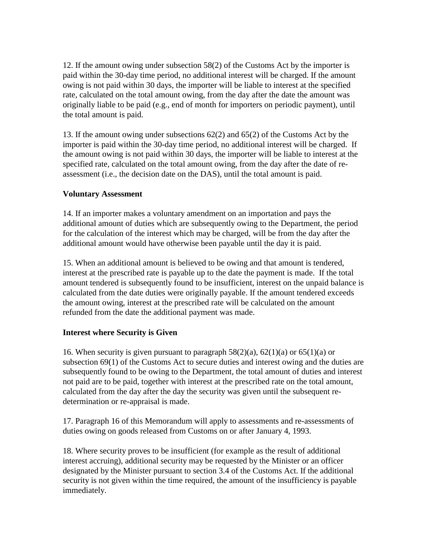12. If the amount owing under subsection 58(2) of the Customs Act by the importer is paid within the 30-day time period, no additional interest will be charged. If the amount owing is not paid within 30 days, the importer will be liable to interest at the specified rate, calculated on the total amount owing, from the day after the date the amount was originally liable to be paid (e.g., end of month for importers on periodic payment), until the total amount is paid.

13. If the amount owing under subsections 62(2) and 65(2) of the Customs Act by the importer is paid within the 30-day time period, no additional interest will be charged. If the amount owing is not paid within 30 days, the importer will be liable to interest at the specified rate, calculated on the total amount owing, from the day after the date of reassessment (i.e., the decision date on the DAS), until the total amount is paid.

### **Voluntary Assessment**

14. If an importer makes a voluntary amendment on an importation and pays the additional amount of duties which are subsequently owing to the Department, the period for the calculation of the interest which may be charged, will be from the day after the additional amount would have otherwise been payable until the day it is paid.

15. When an additional amount is believed to be owing and that amount is tendered, interest at the prescribed rate is payable up to the date the payment is made. If the total amount tendered is subsequently found to be insufficient, interest on the unpaid balance is calculated from the date duties were originally payable. If the amount tendered exceeds the amount owing, interest at the prescribed rate will be calculated on the amount refunded from the date the additional payment was made.

### **Interest where Security is Given**

16. When security is given pursuant to paragraph  $58(2)(a)$ ,  $62(1)(a)$  or  $65(1)(a)$  or subsection 69(1) of the Customs Act to secure duties and interest owing and the duties are subsequently found to be owing to the Department, the total amount of duties and interest not paid are to be paid, together with interest at the prescribed rate on the total amount, calculated from the day after the day the security was given until the subsequent redetermination or re-appraisal is made.

17. Paragraph 16 of this Memorandum will apply to assessments and re-assessments of duties owing on goods released from Customs on or after January 4, 1993.

18. Where security proves to be insufficient (for example as the result of additional interest accruing), additional security may be requested by the Minister or an officer designated by the Minister pursuant to section 3.4 of the Customs Act. If the additional security is not given within the time required, the amount of the insufficiency is payable immediately.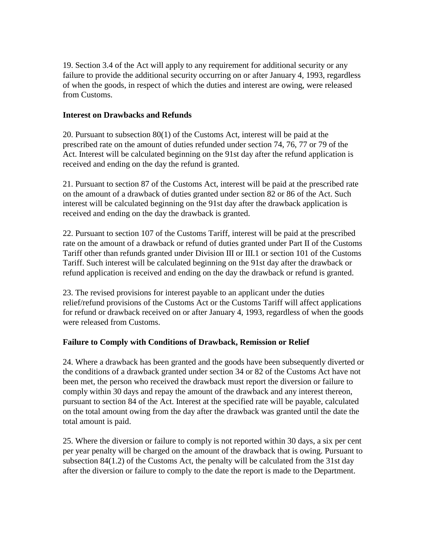19. Section 3.4 of the Act will apply to any requirement for additional security or any failure to provide the additional security occurring on or after January 4, 1993, regardless of when the goods, in respect of which the duties and interest are owing, were released from Customs.

### **Interest on Drawbacks and Refunds**

20. Pursuant to subsection 80(1) of the Customs Act, interest will be paid at the prescribed rate on the amount of duties refunded under section 74, 76, 77 or 79 of the Act. Interest will be calculated beginning on the 91st day after the refund application is received and ending on the day the refund is granted.

21. Pursuant to section 87 of the Customs Act, interest will be paid at the prescribed rate on the amount of a drawback of duties granted under section 82 or 86 of the Act. Such interest will be calculated beginning on the 91st day after the drawback application is received and ending on the day the drawback is granted.

22. Pursuant to section 107 of the Customs Tariff, interest will be paid at the prescribed rate on the amount of a drawback or refund of duties granted under Part II of the Customs Tariff other than refunds granted under Division III or III.1 or section 101 of the Customs Tariff. Such interest will be calculated beginning on the 91st day after the drawback or refund application is received and ending on the day the drawback or refund is granted.

23. The revised provisions for interest payable to an applicant under the duties relief/refund provisions of the Customs Act or the Customs Tariff will affect applications for refund or drawback received on or after January 4, 1993, regardless of when the goods were released from Customs.

### **Failure to Comply with Conditions of Drawback, Remission or Relief**

24. Where a drawback has been granted and the goods have been subsequently diverted or the conditions of a drawback granted under section 34 or 82 of the Customs Act have not been met, the person who received the drawback must report the diversion or failure to comply within 30 days and repay the amount of the drawback and any interest thereon, pursuant to section 84 of the Act. Interest at the specified rate will be payable, calculated on the total amount owing from the day after the drawback was granted until the date the total amount is paid.

25. Where the diversion or failure to comply is not reported within 30 days, a six per cent per year penalty will be charged on the amount of the drawback that is owing. Pursuant to subsection 84(1.2) of the Customs Act, the penalty will be calculated from the 31st day after the diversion or failure to comply to the date the report is made to the Department.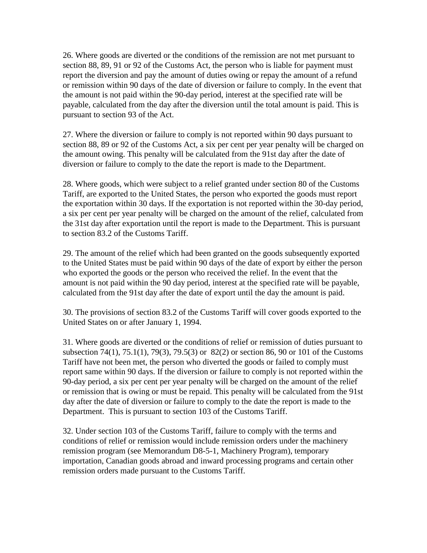26. Where goods are diverted or the conditions of the remission are not met pursuant to section 88, 89, 91 or 92 of the Customs Act, the person who is liable for payment must report the diversion and pay the amount of duties owing or repay the amount of a refund or remission within 90 days of the date of diversion or failure to comply. In the event that the amount is not paid within the 90-day period, interest at the specified rate will be payable, calculated from the day after the diversion until the total amount is paid. This is pursuant to section 93 of the Act.

27. Where the diversion or failure to comply is not reported within 90 days pursuant to section 88, 89 or 92 of the Customs Act, a six per cent per year penalty will be charged on the amount owing. This penalty will be calculated from the 91st day after the date of diversion or failure to comply to the date the report is made to the Department.

28. Where goods, which were subject to a relief granted under section 80 of the Customs Tariff, are exported to the United States, the person who exported the goods must report the exportation within 30 days. If the exportation is not reported within the 30-day period, a six per cent per year penalty will be charged on the amount of the relief, calculated from the 31st day after exportation until the report is made to the Department. This is pursuant to section 83.2 of the Customs Tariff.

29. The amount of the relief which had been granted on the goods subsequently exported to the United States must be paid within 90 days of the date of export by either the person who exported the goods or the person who received the relief. In the event that the amount is not paid within the 90 day period, interest at the specified rate will be payable, calculated from the 91st day after the date of export until the day the amount is paid.

30. The provisions of section 83.2 of the Customs Tariff will cover goods exported to the United States on or after January 1, 1994.

31. Where goods are diverted or the conditions of relief or remission of duties pursuant to subsection 74(1), 75.1(1), 79(3), 79.5(3) or 82(2) or section 86, 90 or 101 of the Customs Tariff have not been met, the person who diverted the goods or failed to comply must report same within 90 days. If the diversion or failure to comply is not reported within the 90-day period, a six per cent per year penalty will be charged on the amount of the relief or remission that is owing or must be repaid. This penalty will be calculated from the 91st day after the date of diversion or failure to comply to the date the report is made to the Department. This is pursuant to section 103 of the Customs Tariff.

32. Under section 103 of the Customs Tariff, failure to comply with the terms and conditions of relief or remission would include remission orders under the machinery remission program (see Memorandum D8-5-1, Machinery Program), temporary importation, Canadian goods abroad and inward processing programs and certain other remission orders made pursuant to the Customs Tariff.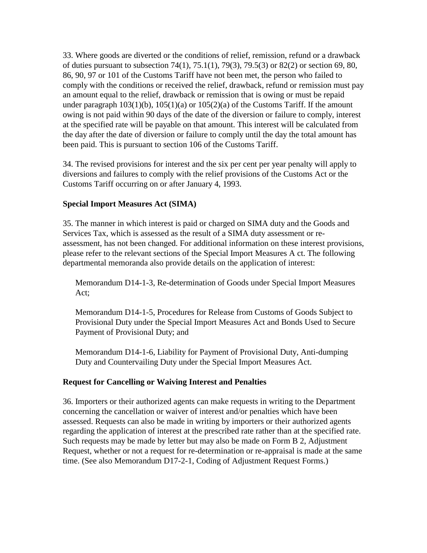33. Where goods are diverted or the conditions of relief, remission, refund or a drawback of duties pursuant to subsection 74(1), 75.1(1), 79(3), 79.5(3) or 82(2) or section 69, 80, 86, 90, 97 or 101 of the Customs Tariff have not been met, the person who failed to comply with the conditions or received the relief, drawback, refund or remission must pay an amount equal to the relief, drawback or remission that is owing or must be repaid under paragraph  $103(1)(b)$ ,  $105(1)(a)$  or  $105(2)(a)$  of the Customs Tariff. If the amount owing is not paid within 90 days of the date of the diversion or failure to comply, interest at the specified rate will be payable on that amount. This interest will be calculated from the day after the date of diversion or failure to comply until the day the total amount has been paid. This is pursuant to section 106 of the Customs Tariff.

34. The revised provisions for interest and the six per cent per year penalty will apply to diversions and failures to comply with the relief provisions of the Customs Act or the Customs Tariff occurring on or after January 4, 1993.

### **Special Import Measures Act (SIMA)**

35. The manner in which interest is paid or charged on SIMA duty and the Goods and Services Tax, which is assessed as the result of a SIMA duty assessment or reassessment, has not been changed. For additional information on these interest provisions, please refer to the relevant sections of the Special Import Measures A ct. The following departmental memoranda also provide details on the application of interest:

Memorandum D14-1-3, Re-determination of Goods under Special Import Measures Act;

Memorandum D14-1-5, Procedures for Release from Customs of Goods Subject to Provisional Duty under the Special Import Measures Act and Bonds Used to Secure Payment of Provisional Duty; and

Memorandum D14-1-6, Liability for Payment of Provisional Duty, Anti-dumping Duty and Countervailing Duty under the Special Import Measures Act.

#### **Request for Cancelling or Waiving Interest and Penalties**

36. Importers or their authorized agents can make requests in writing to the Department concerning the cancellation or waiver of interest and/or penalties which have been assessed. Requests can also be made in writing by importers or their authorized agents regarding the application of interest at the prescribed rate rather than at the specified rate. Such requests may be made by letter but may also be made on Form B 2, Adjustment Request, whether or not a request for re-determination or re-appraisal is made at the same time. (See also Memorandum D17-2-1, Coding of Adjustment Request Forms.)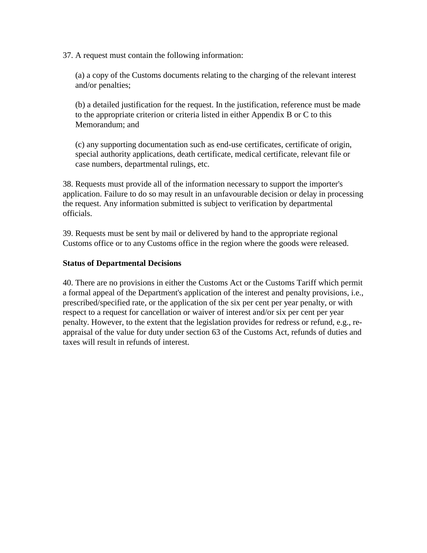37. A request must contain the following information:

(a) a copy of the Customs documents relating to the charging of the relevant interest and/or penalties;

(b) a detailed justification for the request. In the justification, reference must be made to the appropriate criterion or criteria listed in either Appendix B or C to this Memorandum; and

(c) any supporting documentation such as end-use certificates, certificate of origin, special authority applications, death certificate, medical certificate, relevant file or case numbers, departmental rulings, etc.

38. Requests must provide all of the information necessary to support the importer's application. Failure to do so may result in an unfavourable decision or delay in processing the request. Any information submitted is subject to verification by departmental officials.

39. Requests must be sent by mail or delivered by hand to the appropriate regional Customs office or to any Customs office in the region where the goods were released.

### **Status of Departmental Decisions**

40. There are no provisions in either the Customs Act or the Customs Tariff which permit a formal appeal of the Department's application of the interest and penalty provisions, i.e., prescribed/specified rate, or the application of the six per cent per year penalty, or with respect to a request for cancellation or waiver of interest and/or six per cent per year penalty. However, to the extent that the legislation provides for redress or refund, e.g., reappraisal of the value for duty under section 63 of the Customs Act, refunds of duties and taxes will result in refunds of interest.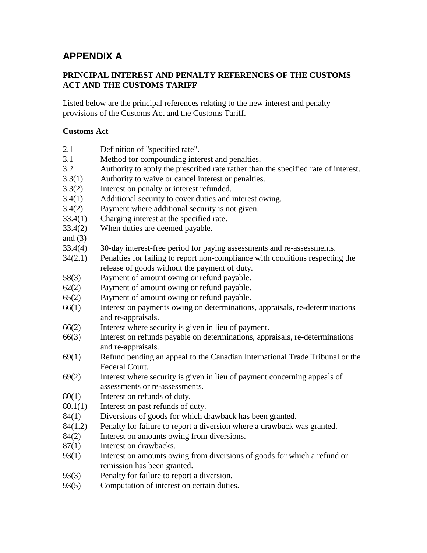## **APPENDIX A**

### **PRINCIPAL INTEREST AND PENALTY REFERENCES OF THE CUSTOMS ACT AND THE CUSTOMS TARIFF**

Listed below are the principal references relating to the new interest and penalty provisions of the Customs Act and the Customs Tariff.

### **Customs Act**

| 2.1<br>Definition of "specified rate". |  |
|----------------------------------------|--|
|----------------------------------------|--|

- 3.1 Method for compounding interest and penalties.
- 3.2 Authority to apply the prescribed rate rather than the specified rate of interest.
- 3.3(1) Authority to waive or cancel interest or penalties.
- 3.3(2) Interest on penalty or interest refunded.
- 3.4(1) Additional security to cover duties and interest owing.
- 3.4(2) Payment where additional security is not given.
- 33.4(1) Charging interest at the specified rate.
- 33.4(2) When duties are deemed payable.
- and  $(3)$
- 33.4(4) 30-day interest-free period for paying assessments and re-assessments.
- 34(2.1) Penalties for failing to report non-compliance with conditions respecting the release of goods without the payment of duty.
- 58(3) Payment of amount owing or refund payable.
- 62(2) Payment of amount owing or refund payable.
- 65(2) Payment of amount owing or refund payable.
- 66(1) Interest on payments owing on determinations, appraisals, re-determinations and re-appraisals.
- 66(2) Interest where security is given in lieu of payment.
- 66(3) Interest on refunds payable on determinations, appraisals, re-determinations and re-appraisals.
- 69(1) Refund pending an appeal to the Canadian International Trade Tribunal or the Federal Court.
- 69(2) Interest where security is given in lieu of payment concerning appeals of assessments or re-assessments.
- 80(1) Interest on refunds of duty.
- 80.1(1) Interest on past refunds of duty.
- 84(1) Diversions of goods for which drawback has been granted.
- 84(1.2) Penalty for failure to report a diversion where a drawback was granted.
- 84(2) Interest on amounts owing from diversions.
- 87(1) Interest on drawbacks.
- 93(1) Interest on amounts owing from diversions of goods for which a refund or remission has been granted.
- 93(3) Penalty for failure to report a diversion.
- 93(5) Computation of interest on certain duties.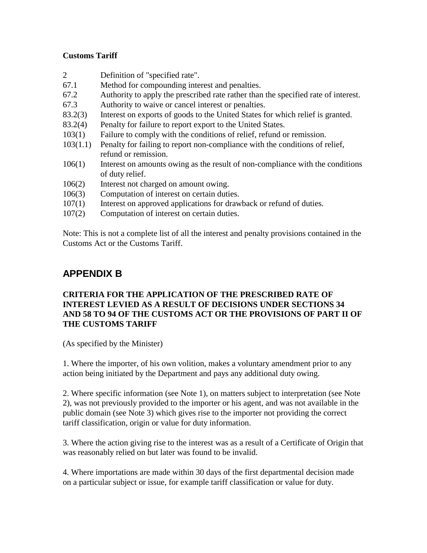### **Customs Tariff**

- 2 Definition of "specified rate".
- 67.1 Method for compounding interest and penalties.
- 67.2 Authority to apply the prescribed rate rather than the specified rate of interest.
- 67.3 Authority to waive or cancel interest or penalties.
- 83.2(3) Interest on exports of goods to the United States for which relief is granted.
- 83.2(4) Penalty for failure to report export to the United States.
- 103(1) Failure to comply with the conditions of relief, refund or remission.
- 103(1.1) Penalty for failing to report non-compliance with the conditions of relief, refund or remission.
- 106(1) Interest on amounts owing as the result of non-compliance with the conditions of duty relief.
- 106(2) Interest not charged on amount owing.
- 106(3) Computation of interest on certain duties.
- 107(1) Interest on approved applications for drawback or refund of duties.
- 107(2) Computation of interest on certain duties.

Note: This is not a complete list of all the interest and penalty provisions contained in the Customs Act or the Customs Tariff.

## **APPENDIX B**

### **CRITERIA FOR THE APPLICATION OF THE PRESCRIBED RATE OF INTEREST LEVIED AS A RESULT OF DECISIONS UNDER SECTIONS 34 AND 58 TO 94 OF THE CUSTOMS ACT OR THE PROVISIONS OF PART II OF THE CUSTOMS TARIFF**

(As specified by the Minister)

1. Where the importer, of his own volition, makes a voluntary amendment prior to any action being initiated by the Department and pays any additional duty owing.

2. Where specific information (see Note 1), on matters subject to interpretation (see Note 2), was not previously provided to the importer or his agent, and was not available in the public domain (see Note 3) which gives rise to the importer not providing the correct tariff classification, origin or value for duty information.

3. Where the action giving rise to the interest was as a result of a Certificate of Origin that was reasonably relied on but later was found to be invalid.

4. Where importations are made within 30 days of the first departmental decision made on a particular subject or issue, for example tariff classification or value for duty.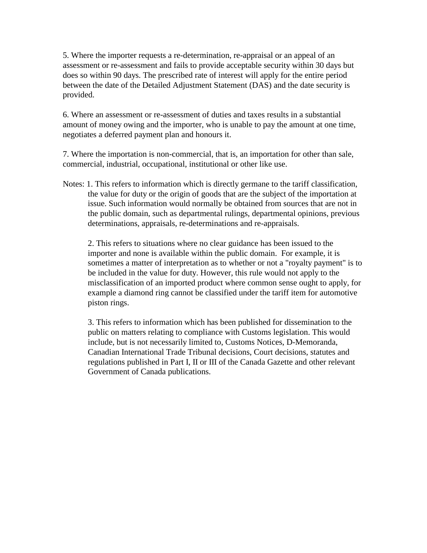5. Where the importer requests a re-determination, re-appraisal or an appeal of an assessment or re-assessment and fails to provide acceptable security within 30 days but does so within 90 days. The prescribed rate of interest will apply for the entire period between the date of the Detailed Adjustment Statement (DAS) and the date security is provided.

6. Where an assessment or re-assessment of duties and taxes results in a substantial amount of money owing and the importer, who is unable to pay the amount at one time, negotiates a deferred payment plan and honours it.

7. Where the importation is non-commercial, that is, an importation for other than sale, commercial, industrial, occupational, institutional or other like use.

Notes: 1. This refers to information which is directly germane to the tariff classification, the value for duty or the origin of goods that are the subject of the importation at issue. Such information would normally be obtained from sources that are not in the public domain, such as departmental rulings, departmental opinions, previous determinations, appraisals, re-determinations and re-appraisals.

2. This refers to situations where no clear guidance has been issued to the importer and none is available within the public domain. For example, it is sometimes a matter of interpretation as to whether or not a "royalty payment" is to be included in the value for duty. However, this rule would not apply to the misclassification of an imported product where common sense ought to apply, for example a diamond ring cannot be classified under the tariff item for automotive piston rings.

3. This refers to information which has been published for dissemination to the public on matters relating to compliance with Customs legislation. This would include, but is not necessarily limited to, Customs Notices, D-Memoranda, Canadian International Trade Tribunal decisions, Court decisions, statutes and regulations published in Part I, II or III of the Canada Gazette and other relevant Government of Canada publications.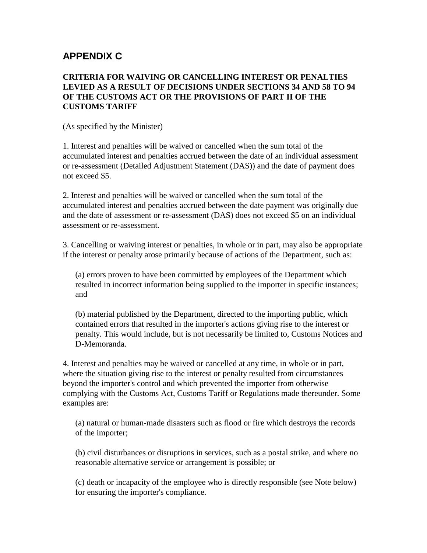## **APPENDIX C**

### **CRITERIA FOR WAIVING OR CANCELLING INTEREST OR PENALTIES LEVIED AS A RESULT OF DECISIONS UNDER SECTIONS 34 AND 58 TO 94 OF THE CUSTOMS ACT OR THE PROVISIONS OF PART II OF THE CUSTOMS TARIFF**

(As specified by the Minister)

1. Interest and penalties will be waived or cancelled when the sum total of the accumulated interest and penalties accrued between the date of an individual assessment or re-assessment (Detailed Adjustment Statement (DAS)) and the date of payment does not exceed \$5.

2. Interest and penalties will be waived or cancelled when the sum total of the accumulated interest and penalties accrued between the date payment was originally due and the date of assessment or re-assessment (DAS) does not exceed \$5 on an individual assessment or re-assessment.

3. Cancelling or waiving interest or penalties, in whole or in part, may also be appropriate if the interest or penalty arose primarily because of actions of the Department, such as:

(a) errors proven to have been committed by employees of the Department which resulted in incorrect information being supplied to the importer in specific instances; and

(b) material published by the Department, directed to the importing public, which contained errors that resulted in the importer's actions giving rise to the interest or penalty. This would include, but is not necessarily be limited to, Customs Notices and D-Memoranda.

4. Interest and penalties may be waived or cancelled at any time, in whole or in part, where the situation giving rise to the interest or penalty resulted from circumstances beyond the importer's control and which prevented the importer from otherwise complying with the Customs Act, Customs Tariff or Regulations made thereunder. Some examples are:

(a) natural or human-made disasters such as flood or fire which destroys the records of the importer;

(b) civil disturbances or disruptions in services, such as a postal strike, and where no reasonable alternative service or arrangement is possible; or

(c) death or incapacity of the employee who is directly responsible (see Note below) for ensuring the importer's compliance.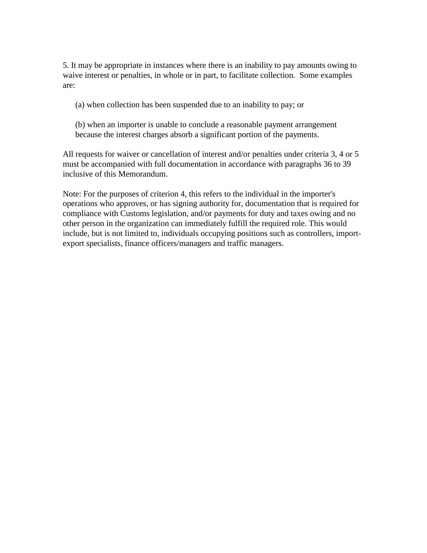5. It may be appropriate in instances where there is an inability to pay amounts owing to waive interest or penalties, in whole or in part, to facilitate collection. Some examples are:

(a) when collection has been suspended due to an inability to pay; or

(b) when an importer is unable to conclude a reasonable payment arrangement because the interest charges absorb a significant portion of the payments.

All requests for waiver or cancellation of interest and/or penalties under criteria 3, 4 or 5 must be accompanied with full documentation in accordance with paragraphs 36 to 39 inclusive of this Memorandum.

Note: For the purposes of criterion 4, this refers to the individual in the importer's operations who approves, or has signing authority for, documentation that is required for compliance with Customs legislation, and/or payments for duty and taxes owing and no other person in the organization can immediately fulfill the required role. This would include, but is not limited to, individuals occupying positions such as controllers, importexport specialists, finance officers/managers and traffic managers.